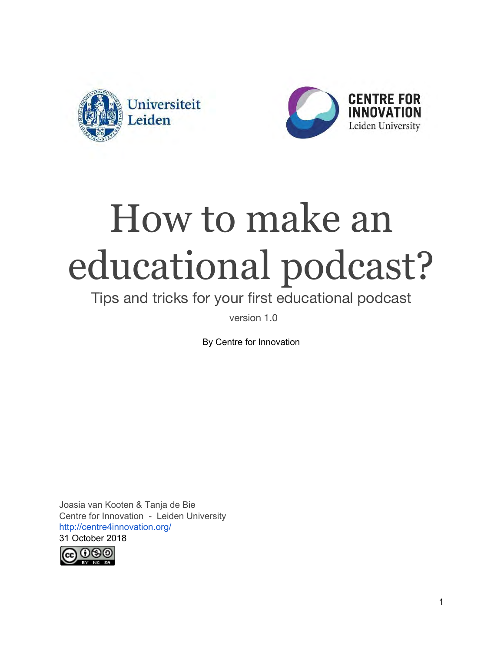



# How to make an educational podcast?

### Tips and tricks for your first educational podcast

version 1.0

By Centre for Innovation

Joasia van Kooten & Tanja de Bie Centre for Innovation - Leiden University <http://centre4innovation.org/> 31 October 2018

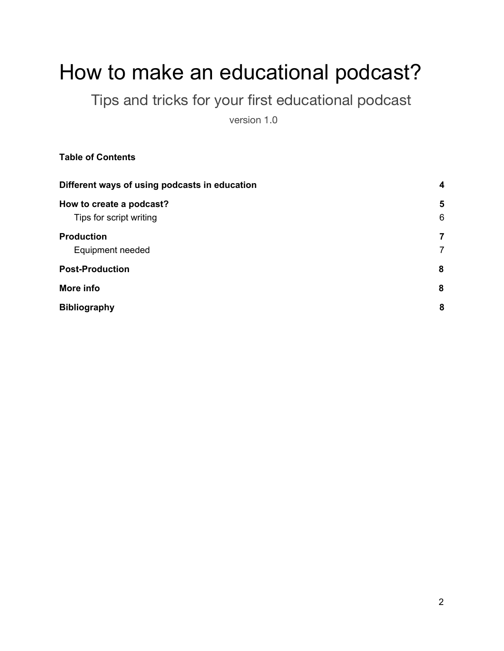## How to make an educational podcast?

Tips and tricks for your first educational podcast

version 1.0

**Table of Contents**

| Different ways of using podcasts in education | $\overline{\mathbf{4}}$ |
|-----------------------------------------------|-------------------------|
| How to create a podcast?                      | 5                       |
| Tips for script writing                       | 6                       |
| <b>Production</b>                             | 7                       |
| Equipment needed                              | $\overline{7}$          |
| <b>Post-Production</b>                        | 8                       |
| More info                                     | 8                       |
| <b>Bibliography</b>                           | 8                       |
|                                               |                         |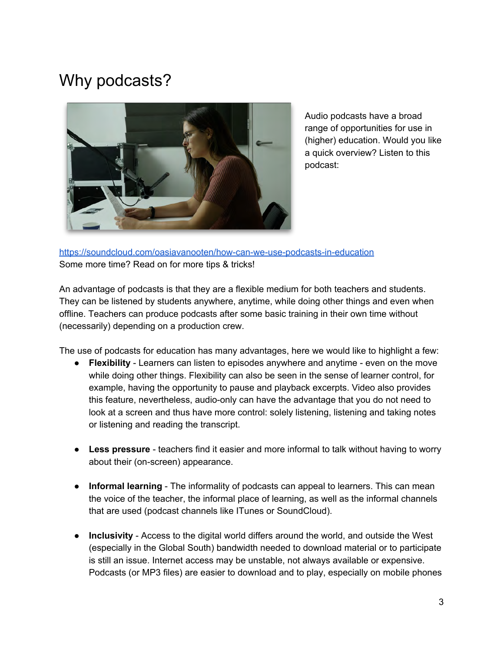### Why podcasts?



Audio podcasts have a broad range of opportunities for use in (higher) education. Would you like a quick overview? Listen to this podcast:

<https://soundcloud.com/oasiavanooten/how-can-we-use-podcasts-in-education> Some more time? Read on for more tips & tricks!

An advantage of podcasts is that they are a flexible medium for both teachers and students. They can be listened by students anywhere, anytime, while doing other things and even when offline. Teachers can produce podcasts after some basic training in their own time without (necessarily) depending on a production crew.

The use of podcasts for education has many advantages, here we would like to highlight a few:

- **Flexibility**  Learners can listen to episodes anywhere and anytime even on the move while doing other things. Flexibility can also be seen in the sense of learner control, for example, having the opportunity to pause and playback excerpts. Video also provides this feature, nevertheless, audio-only can have the advantage that you do not need to look at a screen and thus have more control: solely listening, listening and taking notes or listening and reading the transcript.
- **Less pressure** teachers find it easier and more informal to talk without having to worry about their (on-screen) appearance.
- **Informal learning**  The informality of podcasts can appeal to learners. This can mean the voice of the teacher, the informal place of learning, as well as the informal channels that are used (podcast channels like ITunes or SoundCloud).
- **Inclusivity**  Access to the digital world differs around the world, and outside the West (especially in the Global South) bandwidth needed to download material or to participate is still an issue. Internet access may be unstable, not always available or expensive. Podcasts (or MP3 files) are easier to download and to play, especially on mobile phones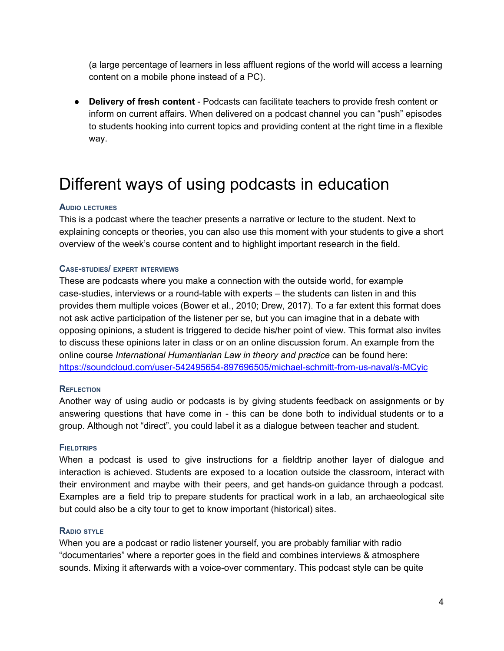(a large percentage of learners in less affluent regions of the world will access a learning content on a mobile phone instead of a PC).

● **Delivery of fresh content** - Podcasts can facilitate teachers to provide fresh content or inform on current affairs. When delivered on a podcast channel you can "push" episodes to students hooking into current topics and providing content at the right time in a flexible way.

### <span id="page-3-0"></span>Different ways of using podcasts in education

#### **AUDIO LECTURES**

This is a podcast where the teacher presents a narrative or lecture to the student. Next to explaining concepts or theories, you can also use this moment with your students to give a short overview of the week's course content and to highlight important research in the field.

#### **CASE-STUDIES/ EXPERT INTERVIEWS**

These are podcasts where you make a connection with the outside world, for example case-studies, interviews or a round-table with experts – the students can listen in and this provides them multiple voices (Bower et al., 2010; Drew, 2017). To a far extent this format does not ask active participation of the listener per se, but you can imagine that in a debate with opposing opinions, a student is triggered to decide his/her point of view. This format also invites to discuss these opinions later in class or on an online discussion forum. An example from the online course *International Humantiarian Law in theory and practice* can be found here: <https://soundcloud.com/user-542495654-897696505/michael-schmitt-from-us-naval/s-MCyic>

#### **REFLECTION**

Another way of using audio or podcasts is by giving students feedback on assignments or by answering questions that have come in - this can be done both to individual students or to a group. Although not "direct", you could label it as a dialogue between teacher and student.

#### **FIELDTRIPS**

When a podcast is used to give instructions for a fieldtrip another layer of dialogue and interaction is achieved. Students are exposed to a location outside the classroom, interact with their environment and maybe with their peers, and get hands-on guidance through a podcast. Examples are a field trip to prepare students for practical work in a lab, an archaeological site but could also be a city tour to get to know important (historical) sites.

#### **RADIO STYLE**

When you are a podcast or radio listener yourself, you are probably familiar with radio "documentaries" where a reporter goes in the field and combines interviews & atmosphere sounds. Mixing it afterwards with a voice-over commentary. This podcast style can be quite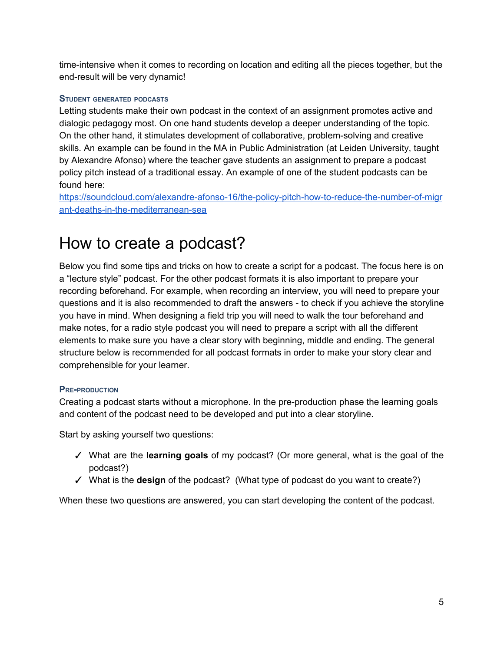time-intensive when it comes to recording on location and editing all the pieces together, but the end-result will be very dynamic!

#### **STUDENT GENERATED PODCASTS**

Letting students make their own podcast in the context of an assignment promotes active and dialogic pedagogy most. On one hand students develop a deeper understanding of the topic. On the other hand, it stimulates development of collaborative, problem-solving and creative skills. An example can be found in the MA in Public Administration (at Leiden University, taught by Alexandre Afonso) where the teacher gave students an assignment to prepare a podcast policy pitch instead of a traditional essay. An example of one of the student podcasts can be found here:

[https://soundcloud.com/alexandre-afonso-16/the-policy-pitch-how-to-reduce-the-number-of-migr](https://soundcloud.com/alexandre-afonso-16/the-policy-pitch-how-to-reduce-the-number-of-migrant-deaths-in-the-mediterranean-sea) [ant-deaths-in-the-mediterranean-sea](https://soundcloud.com/alexandre-afonso-16/the-policy-pitch-how-to-reduce-the-number-of-migrant-deaths-in-the-mediterranean-sea)

### <span id="page-4-0"></span>How to create a podcast?

Below you find some tips and tricks on how to create a script for a podcast. The focus here is on a "lecture style" podcast. For the other podcast formats it is also important to prepare your recording beforehand. For example, when recording an interview, you will need to prepare your questions and it is also recommended to draft the answers - to check if you achieve the storyline you have in mind. When designing a field trip you will need to walk the tour beforehand and make notes, for a radio style podcast you will need to prepare a script with all the different elements to make sure you have a clear story with beginning, middle and ending. The general structure below is recommended for all podcast formats in order to make your story clear and comprehensible for your learner.

#### **PRE-PRODUCTION**

Creating a podcast starts without a microphone. In the pre-production phase the learning goals and content of the podcast need to be developed and put into a clear storyline.

Start by asking yourself two questions:

- ✓ What are the **learning goals** of my podcast? (Or more general, what is the goal of the podcast?)
- ✓ What is the **design** of the podcast? (What type of podcast do you want to create?)

When these two questions are answered, you can start developing the content of the podcast.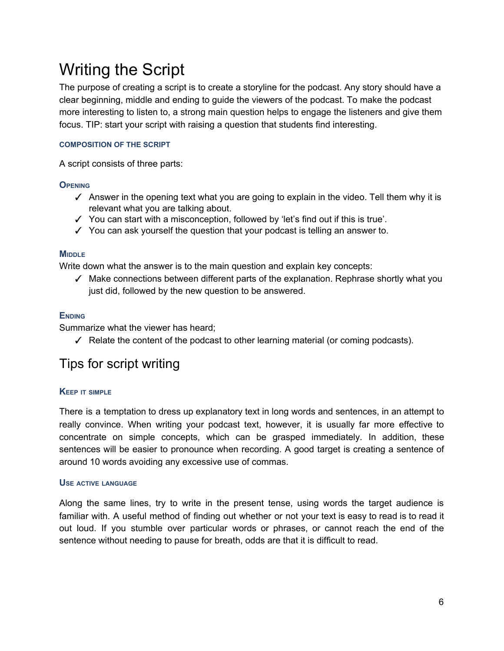### Writing the Script

The purpose of creating a script is to create a storyline for the podcast. Any story should have a clear beginning, middle and ending to guide the viewers of the podcast. To make the podcast more interesting to listen to, a strong main question helps to engage the listeners and give them focus. TIP: start your script with raising a question that students find interesting.

#### **COMPOSITION OF THE SCRIPT**

A script consists of three parts:

#### **OPENING**

- $\checkmark$  Answer in the opening text what you are going to explain in the video. Tell them why it is relevant what you are talking about.
- ✓ You can start with a misconception, followed by 'let's find out if this is true'.
- ✓ You can ask yourself the question that your podcast is telling an answer to.

#### **MIDDLE**

Write down what the answer is to the main question and explain key concepts:

✓ Make connections between different parts of the explanation. Rephrase shortly what you just did, followed by the new question to be answered.

#### **ENDING**

Summarize what the viewer has heard;

 $\checkmark$  Relate the content of the podcast to other learning material (or coming podcasts).

#### <span id="page-5-0"></span>Tips for script writing

#### **KEEP IT SIMPLE**

There is a temptation to dress up explanatory text in long words and sentences, in an attempt to really convince. When writing your podcast text, however, it is usually far more effective to concentrate on simple concepts, which can be grasped immediately. In addition, these sentences will be easier to pronounce when recording. A good target is creating a sentence of around 10 words avoiding any excessive use of commas.

#### **USE ACTIVE LANGUAGE**

Along the same lines, try to write in the present tense, using words the target audience is familiar with. A useful method of finding out whether or not your text is easy to read is to read it out loud. If you stumble over particular words or phrases, or cannot reach the end of the sentence without needing to pause for breath, odds are that it is difficult to read.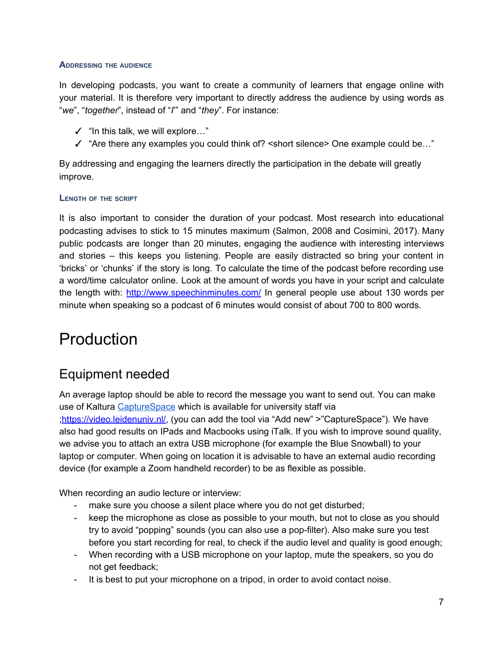#### **ADDRESSING THE AUDIENCE**

In developing podcasts, you want to create a community of learners that engage online with your material. It is therefore very important to directly address the audience by using words as "*we*", "*together*", instead of "*I*'" and "*they*". For instance:

- $\checkmark$  "In this talk, we will explore..."
- $\checkmark$  "Are there any examples you could think of? < short silence > One example could be..."

By addressing and engaging the learners directly the participation in the debate will greatly improve.

#### **LENGTH OF THE SCRIPT**

It is also important to consider the duration of your podcast. Most research into educational podcasting advises to stick to 15 minutes maximum (Salmon, 2008 and Cosimini, 2017). Many public podcasts are longer than 20 minutes, engaging the audience with interesting interviews and stories – this keeps you listening. People are easily distracted so bring your content in 'bricks' or 'chunks' if the story is long. To calculate the time of the podcast before recording use a word/time calculator online. Look at the amount of words you have in your script and calculate the length with: <http://www.speechinminutes.com/> In general people use about 130 words per minute when speaking so a podcast of 6 minutes would consist of about 700 to 800 words.

### <span id="page-6-0"></span>Production

#### <span id="page-6-1"></span>Equipment needed

An average laptop should be able to record the message you want to send out. You can make use of Kaltura [CaptureSpace](http://blogs.library.leiden.edu/fb-video/docs/handleiding-universiteit-leiden-videoportal/capturespace/alleen-stem-microfoon/) which is available for university staff via [;https://video.leidenuniv.nl/,](https://video.leidenuniv.nl/) (you can add the tool via "Add new" >"CaptureSpace"). We have also had good results on IPads and Macbooks using iTalk. If you wish to improve sound quality, we advise you to attach an extra USB microphone (for example the Blue Snowball) to your laptop or computer. When going on location it is advisable to have an external audio recording device (for example a Zoom handheld recorder) to be as flexible as possible.

When recording an audio lecture or interview:

- make sure you choose a silent place where you do not get disturbed;
- keep the microphone as close as possible to your mouth, but not to close as you should try to avoid "popping" sounds (you can also use a pop-filter). Also make sure you test before you start recording for real, to check if the audio level and quality is good enough;
- When recording with a USB microphone on your laptop, mute the speakers, so you do not get feedback;
- It is best to put your microphone on a tripod, in order to avoid contact noise.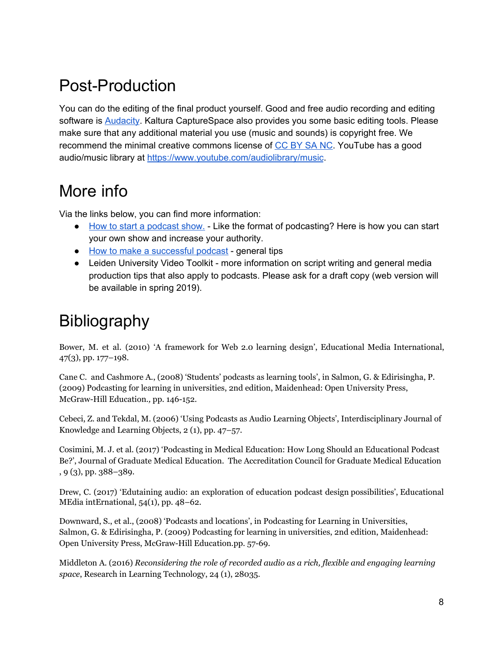### <span id="page-7-0"></span>Post-Production

You can do the editing of the final product yourself. Good and free audio recording and editing software is [Audacity.](https://www.audacityteam.org/) Kaltura CaptureSpace also provides you some basic editing tools. Please make sure that any additional material you use (music and sounds) is copyright free. We recommend the minimal creative commons license of [CC BY SA NC](https://creativecommons.org/licenses/by-nc-sa/4.0/legalcode). YouTube has a good audio/music library at <https://www.youtube.com/audiolibrary/music>.

### <span id="page-7-1"></span>More info

Via the links below, you can find more information:

- [How to start a podcast show.](https://www.thepodcasthost.com/planning/how-to-start-a-podcast/) Like the format of podcasting? Here is how you can start your own show and increase your authority.
- [How to make a successful podcast](https://www.digitaltrends.com/how-to/how-to-make-a-podcast/)  general tips
- Leiden University Video Toolkit more information on script writing and general media production tips that also apply to podcasts. Please ask for a draft copy (web version will be available in spring 2019).

### <span id="page-7-2"></span>Bibliography

Bower, M. et al. (2010) 'A framework for Web 2.0 learning design', Educational Media International, 47(3), pp. 177–198.

Cane C. and Cashmore A., (2008) 'Students' podcasts as learning tools', in Salmon, G. & Edirisingha, P. (2009) Podcasting for learning in universities, 2nd edition, Maidenhead: Open University Press, McGraw-Hill Education.*,* pp. 146-152.

Cebeci, Z. and Tekdal, M. (2006) 'Using Podcasts as Audio Learning Objects', Interdisciplinary Journal of Knowledge and Learning Objects, 2 (1), pp. 47–57.

Cosimini, M. J. et al. (2017) 'Podcasting in Medical Education: How Long Should an Educational Podcast Be?', Journal of Graduate Medical Education. The Accreditation Council for Graduate Medical Education , 9 (3), pp. 388–389.

Drew, C. (2017) 'Edutaining audio: an exploration of education podcast design possibilities', Educational MEdia intErnational, 54(1), pp. 48–62.

Downward, S., et al., (2008) 'Podcasts and locations', in Podcasting for Learning in Universities, Salmon, G. & Edirisingha, P. (2009) Podcasting for learning in universities, 2nd edition, Maidenhead: Open University Press, McGraw-Hill Education.pp. 57-69.

Middleton A. (2016) *Reconsidering the role of recorded audio as a rich, flexible and engaging learning space*, Research in Learning Technology, 24 (1), 28035.